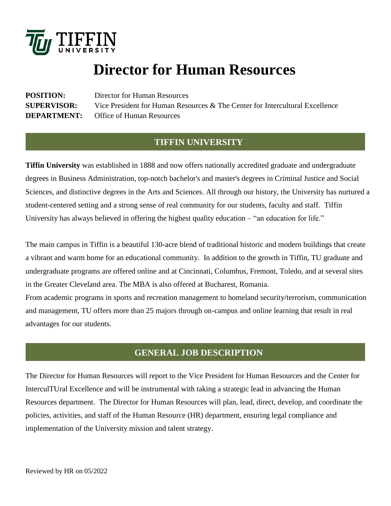

# **Director for Human Resources**

**POSITION:** Director for Human Resources **SUPERVISOR:** Vice President for Human Resources & The Center for Intercultural Excellence **DEPARTMENT:** Office of Human Resources

## **TIFFIN UNIVERSITY**

**Tiffin University** was established in 1888 and now offers nationally accredited graduate and undergraduate degrees in Business Administration, top-notch bachelor's and master's degrees in Criminal Justice and Social Sciences, and distinctive degrees in the Arts and Sciences. All through our history, the University has nurtured a student-centered setting and a strong sense of real community for our students, faculty and staff. Tiffin University has always believed in offering the highest quality education – "an education for life."

The main campus in Tiffin is a beautiful 130-acre blend of traditional historic and modern buildings that create a vibrant and warm home for an educational community. In addition to the growth in Tiffin, TU graduate and undergraduate programs are offered online and at Cincinnati, Columbus, Fremont, Toledo, and at several sites in the Greater Cleveland area. The MBA is also offered at Bucharest, Romania.

From academic programs in sports and recreation management to homeland security/terrorism, communication and management, TU offers more than 25 majors through on-campus and online learning that result in real advantages for our students.

## **GENERAL JOB DESCRIPTION**

The Director for Human Resources will report to the Vice President for Human Resources and the Center for InterculTUral Excellence and will be instrumental with taking a strategic lead in advancing the Human Resources department. The Director for Human Resources will plan, lead, direct, develop, and coordinate the policies, activities, and staff of the Human Resource (HR) department, ensuring legal compliance and implementation of the University mission and talent strategy.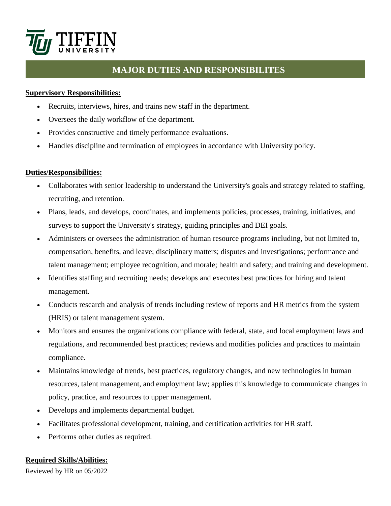

## **MAJOR DUTIES AND RESPONSIBILITES**

#### **Supervisory Responsibilities:**

- Recruits, interviews, hires, and trains new staff in the department.
- Oversees the daily workflow of the department.
- Provides constructive and timely performance evaluations.
- Handles discipline and termination of employees in accordance with University policy.

#### **Duties/Responsibilities:**

- Collaborates with senior leadership to understand the University's goals and strategy related to staffing, recruiting, and retention.
- Plans, leads, and develops, coordinates, and implements policies, processes, training, initiatives, and surveys to support the University's strategy, guiding principles and DEI goals.
- Administers or oversees the administration of human resource programs including, but not limited to, compensation, benefits, and leave; disciplinary matters; disputes and investigations; performance and talent management; employee recognition, and morale; health and safety; and training and development.
- Identifies staffing and recruiting needs; develops and executes best practices for hiring and talent management.
- Conducts research and analysis of trends including review of reports and HR metrics from the system (HRIS) or talent management system.
- Monitors and ensures the organizations compliance with federal, state, and local employment laws and regulations, and recommended best practices; reviews and modifies policies and practices to maintain compliance.
- Maintains knowledge of trends, best practices, regulatory changes, and new technologies in human resources, talent management, and employment law; applies this knowledge to communicate changes in policy, practice, and resources to upper management.
- Develops and implements departmental budget.
- Facilitates professional development, training, and certification activities for HR staff.
- Performs other duties as required.

#### **Required Skills/Abilities:**

Reviewed by HR on 05/2022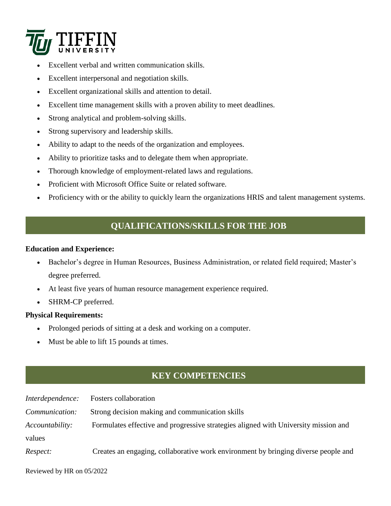

- Excellent verbal and written communication skills.
- Excellent interpersonal and negotiation skills.
- Excellent organizational skills and attention to detail.
- Excellent time management skills with a proven ability to meet deadlines.
- Strong analytical and problem-solving skills.
- Strong supervisory and leadership skills.
- Ability to adapt to the needs of the organization and employees.
- Ability to prioritize tasks and to delegate them when appropriate.
- Thorough knowledge of employment-related laws and regulations.
- Proficient with Microsoft Office Suite or related software.
- Proficiency with or the ability to quickly learn the organizations HRIS and talent management systems.

## **QUALIFICATIONS/SKILLS FOR THE JOB**

#### **Education and Experience:**

- Bachelor's degree in Human Resources, Business Administration, or related field required; Master's degree preferred.
- At least five years of human resource management experience required.
- SHRM-CP preferred.

#### **Physical Requirements:**

- Prolonged periods of sitting at a desk and working on a computer.
- Must be able to lift 15 pounds at times.

# **KEY COMPETENCIES**

| Interdependence: | Fosters collaboration                                                               |
|------------------|-------------------------------------------------------------------------------------|
| Communication:   | Strong decision making and communication skills                                     |
| Accountability:  | Formulates effective and progressive strategies aligned with University mission and |
| values           |                                                                                     |
| Respect:         | Creates an engaging, collaborative work environment by bringing diverse people and  |

Reviewed by HR on 05/2022